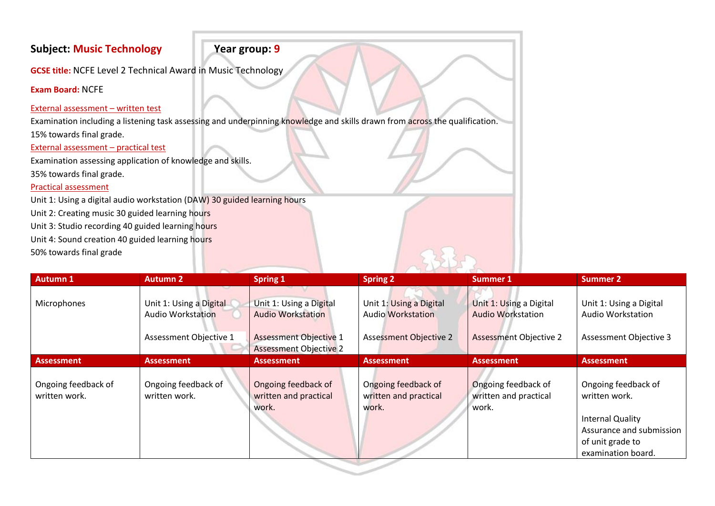# **Subject: Music Technology Year group: 9**

**GCSE title:** NCFE Level 2 Technical Award in Music Technology

**Exam Board:** NCFE

### External assessment – written test

Examination including a listening task assessing and underpinning knowledge and skills drawn from across the qualification.

15% towards final grade.

External assessment – practical test

Examination assessing application of knowledge and skills.

35% towards final grade.

## Practical assessment

Unit 1: Using a digital audio workstation (DAW) 30 guided learning hours

Unit 2: Creating music 30 guided learning hours

Unit 3: Studio recording 40 guided learning hours

Unit 4: Sound creation 40 guided learning hours

50% towards final grade

| <b>Autumn 1</b>                      | <b>Autumn 2</b>                                     | <b>Spring 1</b>                                                | <b>Spring 2</b>                                       | Summer 1                                              | <b>Summer 2</b>                                                                                                                       |
|--------------------------------------|-----------------------------------------------------|----------------------------------------------------------------|-------------------------------------------------------|-------------------------------------------------------|---------------------------------------------------------------------------------------------------------------------------------------|
| Microphones                          | Unit 1: Using a Digital<br><b>Audio Workstation</b> | Unit 1: Using a Digital<br><b>Audio Workstation</b>            | Unit 1: Using a Digital<br><b>Audio Workstation</b>   | Unit 1: Using a Digital<br><b>Audio Workstation</b>   | Unit 1: Using a Digital<br><b>Audio Workstation</b>                                                                                   |
|                                      | Assessment Objective 1                              | <b>Assessment Objective 1</b><br><b>Assessment Objective 2</b> | <b>Assessment Objective 2</b>                         | <b>Assessment Objective 2</b>                         | Assessment Objective 3                                                                                                                |
| <b>Assessment</b>                    | <b>Assessment</b>                                   | <b>Assessment</b>                                              | <b>Assessment</b>                                     | <b>Assessment</b>                                     | <b>Assessment</b>                                                                                                                     |
| Ongoing feedback of<br>written work. | Ongoing feedback of<br>written work.                | Ongoing feedback of<br>written and practical<br>work.          | Ongoing feedback of<br>written and practical<br>work. | Ongoing feedback of<br>written and practical<br>work. | Ongoing feedback of<br>written work.<br><b>Internal Quality</b><br>Assurance and submission<br>of unit grade to<br>examination board. |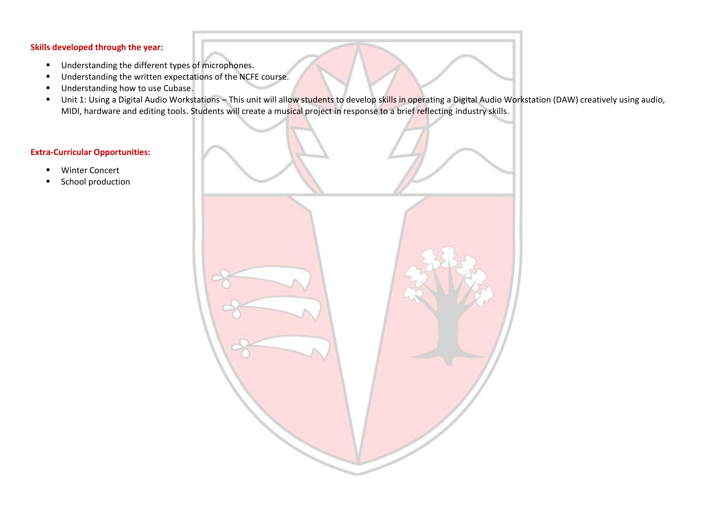#### **Skills developed through the year:**

- Understanding the different types of microphones.
- Understanding the written expectations of the NCFE course.
- Understanding how to use Cubase.
- Unit 1: Using a Digital Audio Workstations This unit will allow students to develop skills in operating a Digital Audio Workstation (DAW) creatively using audio, MIDI, hardware and editing tools. Students will create a musical project in response to a brief reflecting industry skills.

#### **Extra-Curricular Opportunities:**

- Winter Concert
- School production

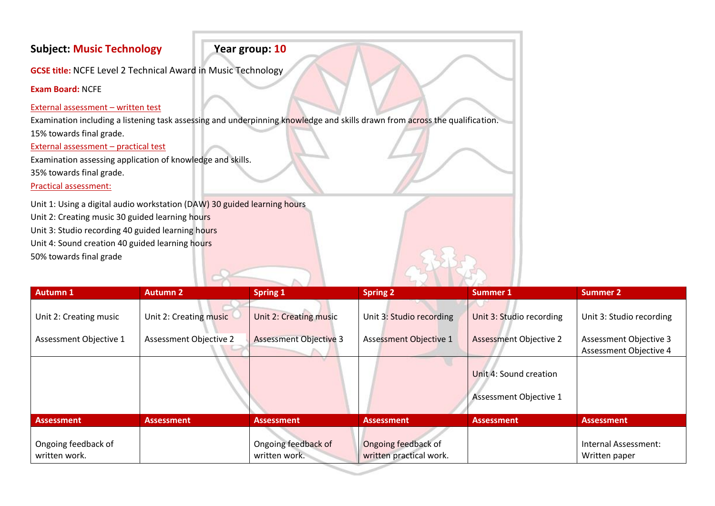# **Subject: Music Technology Year group: 10**

**GCSE title:** NCFE Level 2 Technical Award in Music Technology

**Exam Board:** NCFE

### External assessment – written test

Examination including a listening task assessing and underpinning knowledge and skills drawn from across the qualification. 15% towards final grade.

External assessment – practical test

Examination assessing application of knowledge and skills.

35% towards final grade.

Practical assessment:

Unit 1: Using a digital audio workstation (DAW) 30 guided learning hours Unit 2: Creating music 30 guided learning hours Unit 3: Studio recording 40 guided learning hours Unit 4: Sound creation 40 guided learning hours 50% towards final grade

| <b>Autumn 1</b>                      | <b>Autumn 2</b>        | <b>Spring 1</b>                      | <b>Spring 2</b>                                | Summer 1                                         | <b>Summer 2</b>                                  |
|--------------------------------------|------------------------|--------------------------------------|------------------------------------------------|--------------------------------------------------|--------------------------------------------------|
| Unit 2: Creating music               | Unit 2: Creating music | Unit 2: Creating music               | Unit 3: Studio recording                       | Unit 3: Studio recording                         | Unit 3: Studio recording                         |
| Assessment Objective 1               | Assessment Objective 2 | <b>Assessment Objective 3</b>        | <b>Assessment Objective 1</b>                  | <b>Assessment Objective 2</b>                    | Assessment Objective 3<br>Assessment Objective 4 |
|                                      |                        |                                      |                                                | Unit 4: Sound creation<br>Assessment Objective 1 |                                                  |
| <b>Assessment</b>                    | <b>Assessment</b>      | <b>Assessment</b>                    | <b>Assessment</b>                              | <b>Assessment</b>                                | <b>Assessment</b>                                |
| Ongoing feedback of<br>written work. |                        | Ongoing feedback of<br>written work. | Ongoing feedback of<br>written practical work. |                                                  | Internal Assessment:<br>Written paper            |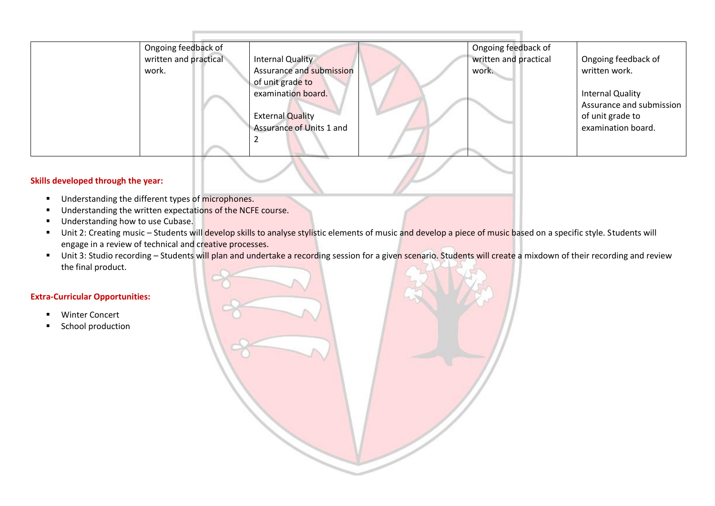| Ongoing feedback of   |                          | Ongoing feedback of   |                          |
|-----------------------|--------------------------|-----------------------|--------------------------|
| written and practical | <b>Internal Quality</b>  | written and practical | Ongoing feedback of      |
| work.                 | Assurance and submission | work.                 | written work.            |
|                       | of unit grade to         |                       |                          |
|                       | examination board.       |                       | <b>Internal Quality</b>  |
|                       |                          |                       | Assurance and submission |
|                       | <b>External Quality</b>  |                       | of unit grade to         |
|                       | Assurance of Units 1 and |                       | examination board.       |
|                       |                          |                       |                          |
|                       |                          |                       |                          |

#### **Skills developed through the year:**

- Understanding the different types of microphones.
- Understanding the written expectations of the NCFE course.
- Understanding how to use Cubase.
- Unit 2: Creating music Students will develop skills to analyse stylistic elements of music and develop a piece of music based on a specific style. Students will engage in a review of technical and creative processes.
- Unit 3: Studio recording Students will plan and undertake a recording session for a given scenario. Students will create a mixdown of their recording and review the final product.

#### **Extra-Curricular Opportunities:**

- Winter Concert
- School production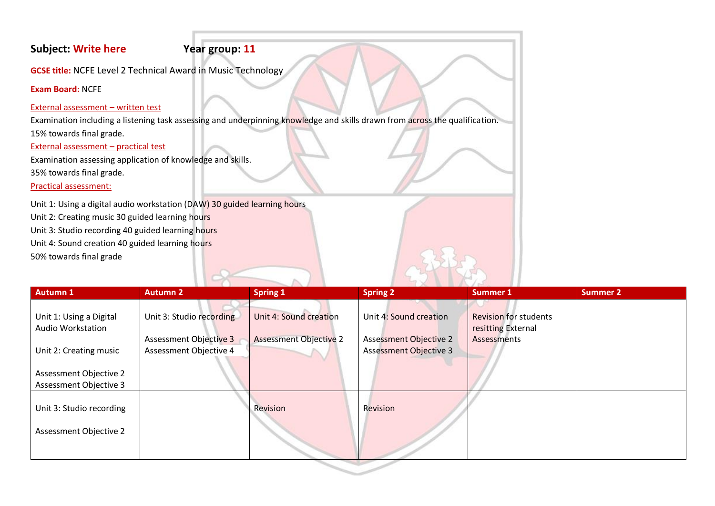# **Subject: Write here Year group: 11**

**GCSE title:** NCFE Level 2 Technical Award in Music Technology

**Exam Board:** NCFE

### External assessment – written test

Examination including a listening task assessing and underpinning knowledge and skills drawn from across the qualification. 15% towards final grade.

### External assessment – practical test

Examination assessing application of knowledge and skills.

35% towards final grade.

Practical assessment:

Unit 1: Using a digital audio workstation (DAW) 30 guided learning hours Unit 2: Creating music 30 guided learning hours Unit 3: Studio recording 40 guided learning hours Unit 4: Sound creation 40 guided learning hours 50% towards final grade

| <b>Autumn 1</b>                                     | <b>Autumn 2</b>          | <b>Spring 1</b>               | <b>Spring 2</b>               | <b>Summer 1</b>                                    | Summer 2 |
|-----------------------------------------------------|--------------------------|-------------------------------|-------------------------------|----------------------------------------------------|----------|
| Unit 1: Using a Digital<br><b>Audio Workstation</b> | Unit 3: Studio recording | Unit 4: Sound creation        | Unit 4: Sound creation        | <b>Revision for students</b><br>resitting External |          |
|                                                     | Assessment Objective 3   | <b>Assessment Objective 2</b> | <b>Assessment Objective 2</b> | Assessments                                        |          |
| Unit 2: Creating music                              | Assessment Objective 4   |                               | <b>Assessment Objective 3</b> |                                                    |          |
| Assessment Objective 2<br>Assessment Objective 3    |                          |                               |                               |                                                    |          |
| Unit 3: Studio recording                            |                          | Revision                      | Revision                      |                                                    |          |
| Assessment Objective 2                              |                          |                               |                               |                                                    |          |
|                                                     |                          |                               |                               |                                                    |          |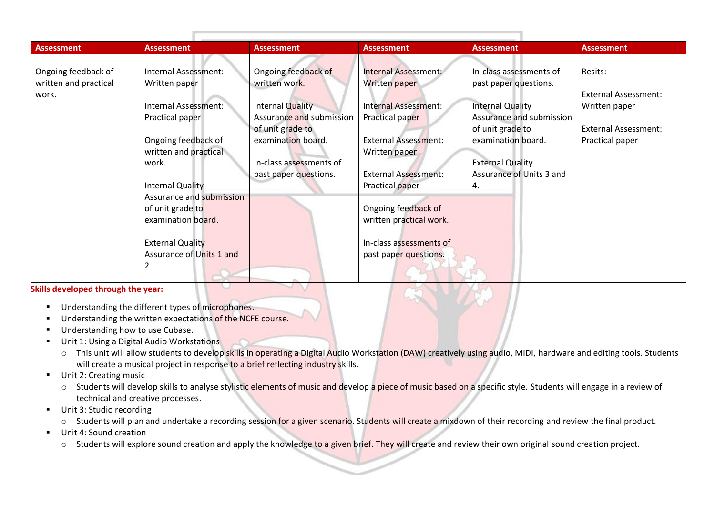| <b>Assessment</b>     | <b>Assessment</b>        | <b>Assessment</b>        | <b>Assessment</b>           | <b>Assessment</b>        | <b>Assessment</b>           |
|-----------------------|--------------------------|--------------------------|-----------------------------|--------------------------|-----------------------------|
| Ongoing feedback of   | Internal Assessment:     | Ongoing feedback of      | Internal Assessment:        | In-class assessments of  | Resits:                     |
|                       |                          | written work.            |                             |                          |                             |
| written and practical | Written paper            |                          | Written paper               | past paper questions.    |                             |
| work.                 |                          |                          |                             |                          | <b>External Assessment:</b> |
|                       | Internal Assessment:     | Internal Quality         | Internal Assessment:        | <b>Internal Quality</b>  | Written paper               |
|                       | Practical paper          | Assurance and submission | Practical paper             | Assurance and submission |                             |
|                       |                          | of unit grade to         |                             | of unit grade to         | <b>External Assessment:</b> |
|                       | Ongoing feedback of      | examination board.       | <b>External Assessment:</b> | examination board.       | Practical paper             |
|                       | written and practical    |                          | Written paper               |                          |                             |
|                       | work.                    | In-class assessments of  |                             | <b>External Quality</b>  |                             |
|                       |                          | past paper questions.    | <b>External Assessment:</b> | Assurance of Units 3 and |                             |
|                       | <b>Internal Quality</b>  |                          | Practical paper             | 4.                       |                             |
|                       | Assurance and submission |                          |                             |                          |                             |
|                       | of unit grade to         |                          | Ongoing feedback of         |                          |                             |
|                       | examination board.       |                          | written practical work.     |                          |                             |
|                       |                          |                          |                             |                          |                             |
|                       | <b>External Quality</b>  |                          | In-class assessments of     |                          |                             |
|                       | Assurance of Units 1 and |                          | past paper questions.       |                          |                             |
|                       |                          |                          |                             |                          |                             |
|                       |                          |                          |                             |                          |                             |

**Skills developed through the year:** 

- Understanding the different types of microphones.
- Understanding the written expectations of the NCFE course.
- Understanding how to use Cubase.
- Unit 1: Using a Digital Audio Workstations
	- o This unit will allow students to develop skills in operating a Digital Audio Workstation (DAW) creatively using audio, MIDI, hardware and editing tools. Students will create a musical project in response to a brief reflecting industry skills.
- Unit 2: Creating music
	- o Students will develop skills to analyse stylistic elements of music and develop a piece of music based on a specific style. Students will engage in a review of technical and creative processes.
- Unit 3: Studio recording
	- o Students will plan and undertake a recording session for a given scenario. Students will create a mixdown of their recording and review the final product.
- Unit 4: Sound creation
	- o Students will explore sound creation and apply the knowledge to a given brief. They will create and review their own original sound creation project.